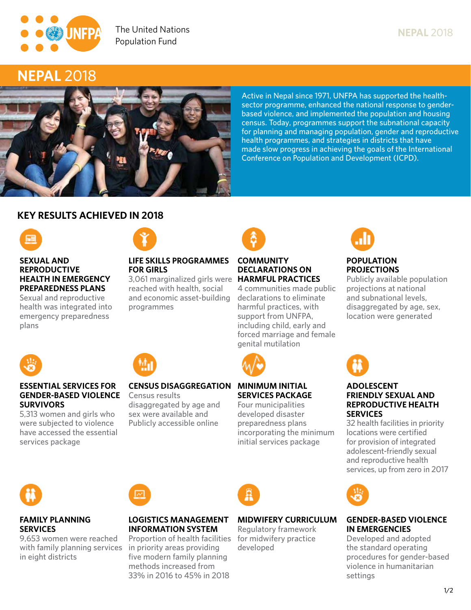

# **NEPAL 2018 Ensuring rights and choices for all since 1969**



**Active in Nepal since 1971, UNFPA has supported the healthsector programme, enhanced the national response to genderbased violence, and implemented the population and housing census. Today, programmes support the subnational capacity for planning and managing population, gender and reproductive health programmes, and strategies in districts that have made slow progress in achieving the goals of the International Conference on Population and Development (ICPD).**

# **KEY RESULTS ACHIEVED IN 2018**



#### **SEXUAL AND REPRODUCTIVE Ensuring rights and choices for all since 1969 HEALTH IN EMERGENCY PREPAREDNESS PLANS**

**Sexual and reproductive health was integrated into emergency preparedness plans**

**ESSENTIAL SERVICES FOR** 

**5,313 women and girls who were subjected to violence have accessed the essential** 



# **LIFE SKILLS PROGRAMMES FOR GIRLS**

**3,061 marginalized girls were HARMFUL PRACTICES reached with health, social and economic asset-building programmes**



# **COMMUNITY DECLARATIONS ON**

**4 communities made public declarations to eliminate harmful practices, with support from UNFPA, including child, early and forced marriage and female genital mutilation**



# **SERVICES PACKAGE**

**Four municipalities developed disaster preparedness plans incorporating the minimum initial services package**



## **POPULATION PROJECTIONS**

**Publicly available population projections at national and subnational levels, disaggregated by age, sex, location were generated**

**NEPAL 2018**



## **ADOLESCENT FRIENDLY SEXUAL AND REPRODUCTIVE HEALTH SERVICES**

**32 health facilities in priority locations were certified for provision of integrated adolescent-friendly sexual and reproductive health services, up from zero in 2017**



**SURVIVORS**

**services package**

## **FAMILY PLANNING SERVICES**

**9,653 women were reached with family planning services in priority areas providing in eight districts** 

#### **GENDER-BASED VIOLENCE Census results CENSUS DISAGGREGATION MINIMUM INITIAL**

**disaggregated by age and sex were available and Publicly accessible online**

**LOGISTICS MANAGEMENT INFORMATION SYSTEM Proportion of health facilities** 

**five modern family planning methods increased from 33% in 2016 to 45% in 2018**

|  | . <del>.</del> |  |
|--|----------------|--|
|  | initial ser    |  |
|  |                |  |
|  |                |  |
|  |                |  |



# **MIDWIFERY CURRICULUM**

**Regulatory framework for midwifery practice developed**



# **GENDER-BASED VIOLENCE IN EMERGENCIES**

**Developed and adopted the standard operating procedures for gender-based violence in humanitarian settings**